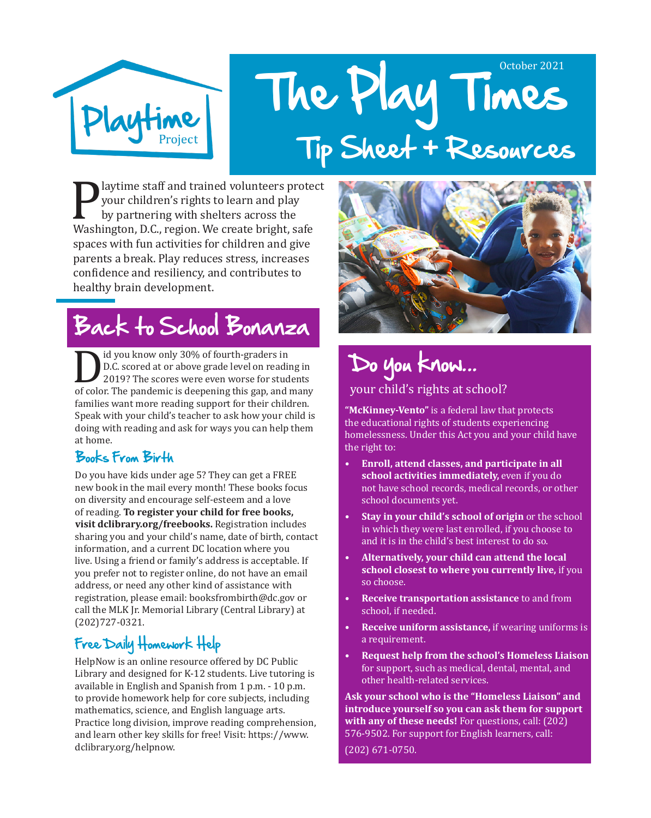

# The Play Times October 2021 Tip Sheet + Resources

**Playtime staff and trained volunteers protect**<br>
your children's rights to learn and play<br>
by partnering with shelters across the<br>
Washington, D.C., region. We create bright, safe<br>
ansessaith for activities for shildren an your children's rights to learn and play by partnering with shelters across the spaces with fun activities for children and give parents a break. Play reduces stress, increases confidence and resiliency, and contributes to healthy brain development.

# Back to School Bonanza

Did you know only 30% of fourth-graders in<br>
D.C. scored at or above grade level on reading in<br>
2019? The scores were even worse for students<br>
of color. The pandemic is deepening this gap, and many<br>
for their shildren D.C. scored at or above grade level on reading in 2019? The scores were even worse for students families want more reading support for their children. Speak with your child's teacher to ask how your child is doing with reading and ask for ways you can help them at home.

#### Books From Birth

Do you have kids under age 5? They can get a FREE new book in the mail every month! These books focus on diversity and encourage self-esteem and a love of reading. **To register your child for free books, visit dclibrary.org/freebooks.** Registration includes sharing you and your child's name, date of birth, contact information, and a current DC location where you live. Using a friend or family's address is acceptable. If you prefer not to register online, do not have an email address, or need any other kind of assistance with registration, please email: booksfrombirth@dc.gov or call the MLK Jr. Memorial Library (Central Library) at (202)727-0321.

#### Free Daily Homework Help

HelpNow is an online resource offered by DC Public Library and designed for K-12 students. Live tutoring is available in English and Spanish from 1 p.m. - 10 p.m. to provide homework help for core subjects, including mathematics, science, and English language arts. Practice long division, improve reading comprehension, and learn other key skills for free! Visit: https://www. dclibrary.org/helpnow.



### Do you know... your child's rights at school?

**"McKinney-Vento"** is a federal law that protects the educational rights of students experiencing homelessness. Under this Act you and your child have the right to:

- **• Enroll, attend classes, and participate in all school activities immediately,** even if you do not have school records, medical records, or other school documents yet.
- **• Stay in your child's school of origin** or the school in which they were last enrolled, if you choose to and it is in the child's best interest to do so.
- **• Alternatively, your child can attend the local school closest to where you currently live,** if you so choose.
- **• Receive transportation assistance** to and from school, if needed.
- **• Receive uniform assistance,** if wearing uniforms is a requirement.
- **• Request help from the school's Homeless Liaison** for support, such as medical, dental, mental, and other health-related services.

**Ask your school who is the "Homeless Liaison" and introduce yourself so you can ask them for support with any of these needs!** For questions, call: (202) 576-9502. For support for English learners, call:

(202) 671-0750.